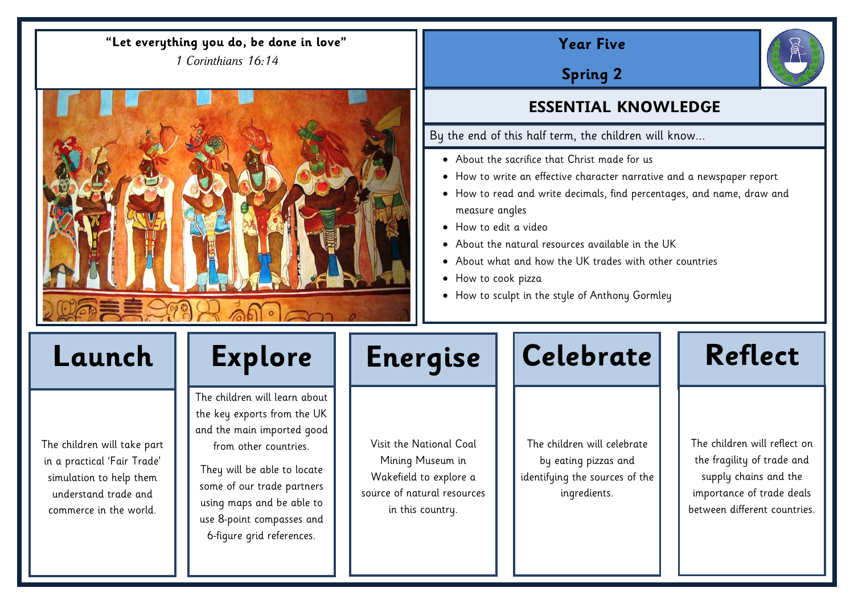# **Year Five**

**Spring 2**

# **ESSENTIAL KNOWLEDGE**

By the end of this half term, the children will know...

- About the sacrifice that Christ made for us
- How to write an effective character narrative and a newspaper report
- How to read and write decimals, find percentages, and name, draw and measure angles
- How to edit a video
- About the natural resources available in the UK
- About what and how the UK trades with other countries
- How to cook pizza
- How to sculpt in the style of Anthony Gormley

The children will take part in a practical 'Fair Trade' simulation to help them understand trade and commerce in the world.

The children will learn about the key exports from the UK and the main imported good from other countries.

They will be able to locate some of our trade partners using maps and be able to use 8-point compasses and 6-figure grid references.



Visit the National Coal Mining Museum in Wakefield to explore a source of natural resources in this country.

The children will celebrate by eating pizzas and identifying the sources of the ingredients.



## **"Let everything you do, be done in love"**

*1 Corinthians 16:14*